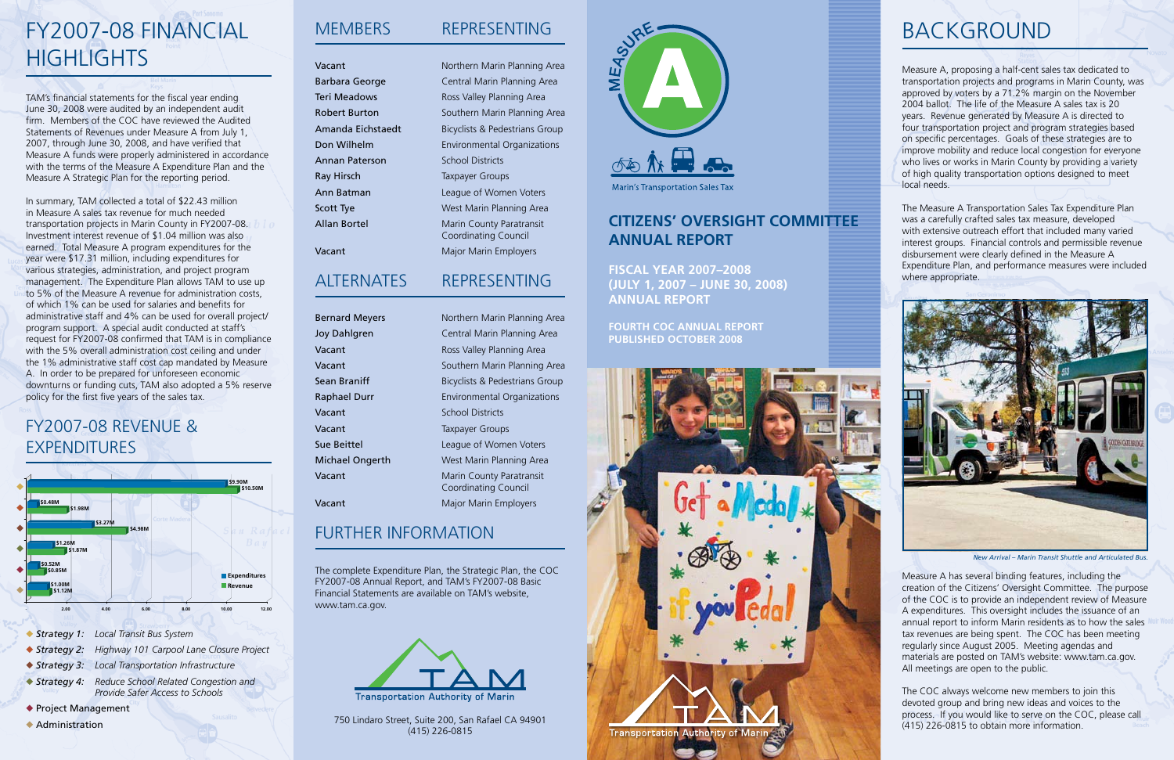### **Citizens' Oversight Committee annual report**

**Fiscal Year 2007–2008 (July 1, 2007 – June 30, 2008) Annual Report**

**Fourth COC Annual Report Published October 2008**



# **BACKGROUND**

Measure A, proposing a half-cent sales tax dedicated to transportation projects and programs in Marin County, was approved by voters by a 71.2% margin on the November 2004 ballot. The life of the Measure A sales tax is 20 years. Revenue generated by Measure A is directed to four transportation project and program strategies based on specific percentages. Goals of these strategies are to improve mobility and reduce local congestion for everyone who lives or works in Marin County by providing a variety of high quality transportation options designed to meet local needs.

The Measure A Transportation Sales Tax Expenditure Plan was a carefully crafted sales tax measure, developed with extensive outreach effort that included many varied interest groups. Financial controls and permissible revenue disbursement were clearly defined in the Measure A Expenditure Plan, and performance measures were included where appropriate.

Measure A has several binding features, including the creation of the Citizens' Oversight Committee. The purpose of the COC is to provide an independent review of Measure A expenditures. This oversight includes the issuance of an annual report to inform Marin residents as to how the sales tax revenues are being spent. The COC has been meeting regularly since August 2005. Meeting agendas and materials are posted on TAM's website: www.tam.ca.gov. All meetings are open to the public.

# FY2007-08 Financial **HIGHLIGHTS**

The COC always welcome new members to join this devoted group and bring new ideas and voices to the process. If you would like to serve on the COC, please call (415) 226-0815 to obtain more information.

# Members Representing

Vacant **Northern Marin Planning Area** Barbara George **Central Marin Planning Area** Teri Meadows **Ross Valley Planning Area** Robert Burton **Southern Marin Planning Area** Amanda Eichstaedt Bicyclists & Pedestrians Group Don Wilhelm **Environmental Organizations** Ann Batman **League of Women Voters Scott Tye** West Marin Planning Area Allan Bortel Marin County Paratransit Coordinating Council Vacant Major Marin Employers



## FY2007-08 revenue & **EXPENDITURES**

### Alternates Representing

Bernard Meyers Northern Marin Planning Area Joy Dahlgren Central Marin Planning Area Vacant **Vacant** Ross Valley Planning Area Vacant **Vacant** Southern Marin Planning Area **Sean Braniff** Bicyclists & Pedestrians Group Raphael Durr **Environmental Organizations** Vacant School Districts Vacant **Taxpayer Groups** Sue Beittel **League of Women Voters** Michael Ongerth West Marin Planning Area Vacant Marin County Paratransit

Vacant Major Marin Employers

Coordinating Council



### Further Information

The complete Expenditure Plan, the Strategic Plan, the COC FY2007-08 Annual Report, and TAM's FY2007-08 Basic Financial Statements are available on TAM's website, www.tam.ca.gov.

750 Lindaro Street, Suite 200, San Rafael CA 94901 (415) 226-0815

TAM's financial statements for the fiscal year ending June 30, 2008 were audited by an independent audit firm. Members of the COC have reviewed the Audited Statements of Revenues under Measure A from July 1, 2007, through June 30, 2008, and have verified that Measure A funds were properly administered in accordance with the terms of the Measure A Expenditure Plan and the Measure A Strategic Plan for the reporting period.

In summary, TAM collected a total of \$22.43 million in Measure A sales tax revenue for much needed transportation projects in Marin County in FY2007-08. Investment interest revenue of \$1.04 million was also earned. Total Measure A program expenditures for the year were \$17.31 million, including expenditures for various strategies, administration, and project program management. The Expenditure Plan allows TAM to use up to 5% of the Measure A revenue for administration costs, of which 1% can be used for salaries and benefits for administrative staff and 4% can be used for overall project/ program support. A special audit conducted at staff's request for FY2007-08 confirmed that TAM is in compliance with the 5% overall administration cost ceiling and under the 1% administrative staff cost cap mandated by Measure A. In order to be prepared for unforeseen economic downturns or funding cuts, TAM also adopted a 5% reserve policy for the first five years of the sales tax.



- ◆ Strategy 1: Local Transit Bus System
- u *Strategy 2: Highway 101 Carpool Lane Closure Project*
- u *Strategy 3: Local Transportation Infrastructure*
- u *Strategy 4: Reduce School Related Congestion and Provide Safer Access to Schools*
- ◆ Project Management
- $\triangle$  Administration

Annan Paterson School Districts Ray Hirsch Taxpayer Groups



*New Arrival – Marin Transit Shuttle and Articulated Bus.*